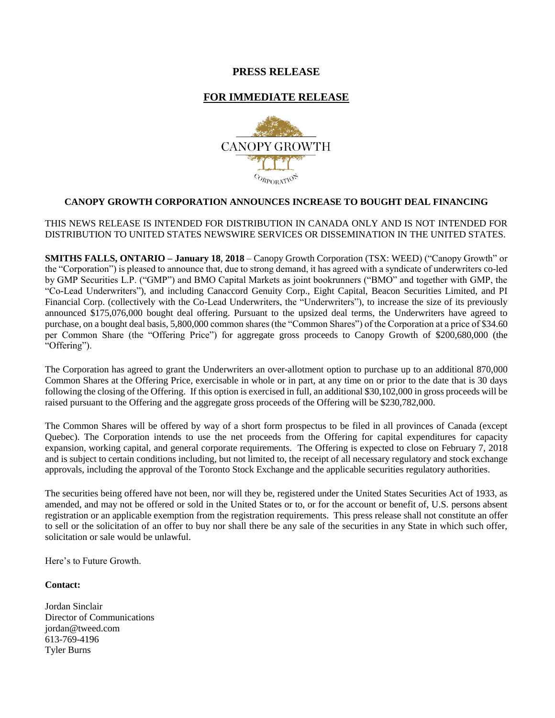# **PRESS RELEASE**

# **FOR IMMEDIATE RELEASE**



# **CANOPY GROWTH CORPORATION ANNOUNCES INCREASE TO BOUGHT DEAL FINANCING**

## THIS NEWS RELEASE IS INTENDED FOR DISTRIBUTION IN CANADA ONLY AND IS NOT INTENDED FOR DISTRIBUTION TO UNITED STATES NEWSWIRE SERVICES OR DISSEMINATION IN THE UNITED STATES.

**SMITHS FALLS, ONTARIO – January 18**, **2018** – Canopy Growth Corporation (TSX: WEED) ("Canopy Growth" or the "Corporation") is pleased to announce that, due to strong demand, it has agreed with a syndicate of underwriters co-led by GMP Securities L.P. ("GMP") and BMO Capital Markets as joint bookrunners ("BMO" and together with GMP, the "Co-Lead Underwriters"), and including Canaccord Genuity Corp., Eight Capital, Beacon Securities Limited, and PI Financial Corp. (collectively with the Co-Lead Underwriters, the "Underwriters"), to increase the size of its previously announced \$175,076,000 bought deal offering. Pursuant to the upsized deal terms, the Underwriters have agreed to purchase, on a bought deal basis, 5,800,000 common shares (the "Common Shares") of the Corporation at a price of \$34.60 per Common Share (the "Offering Price") for aggregate gross proceeds to Canopy Growth of \$200,680,000 (the "Offering").

The Corporation has agreed to grant the Underwriters an over-allotment option to purchase up to an additional 870,000 Common Shares at the Offering Price, exercisable in whole or in part, at any time on or prior to the date that is 30 days following the closing of the Offering. If this option is exercised in full, an additional \$30,102,000 in gross proceeds will be raised pursuant to the Offering and the aggregate gross proceeds of the Offering will be \$230,782,000.

The Common Shares will be offered by way of a short form prospectus to be filed in all provinces of Canada (except Quebec). The Corporation intends to use the net proceeds from the Offering for capital expenditures for capacity expansion, working capital, and general corporate requirements. The Offering is expected to close on February 7, 2018 and is subject to certain conditions including, but not limited to, the receipt of all necessary regulatory and stock exchange approvals, including the approval of the Toronto Stock Exchange and the applicable securities regulatory authorities.

The securities being offered have not been, nor will they be, registered under the United States Securities Act of 1933, as amended, and may not be offered or sold in the United States or to, or for the account or benefit of, U.S. persons absent registration or an applicable exemption from the registration requirements. This press release shall not constitute an offer to sell or the solicitation of an offer to buy nor shall there be any sale of the securities in any State in which such offer, solicitation or sale would be unlawful.

Here's to Future Growth.

### **Contact:**

Jordan Sinclair Director of Communications [jordan@tweed.com](mailto:jordan@tweed.com) 613-769-4196 Tyler Burns